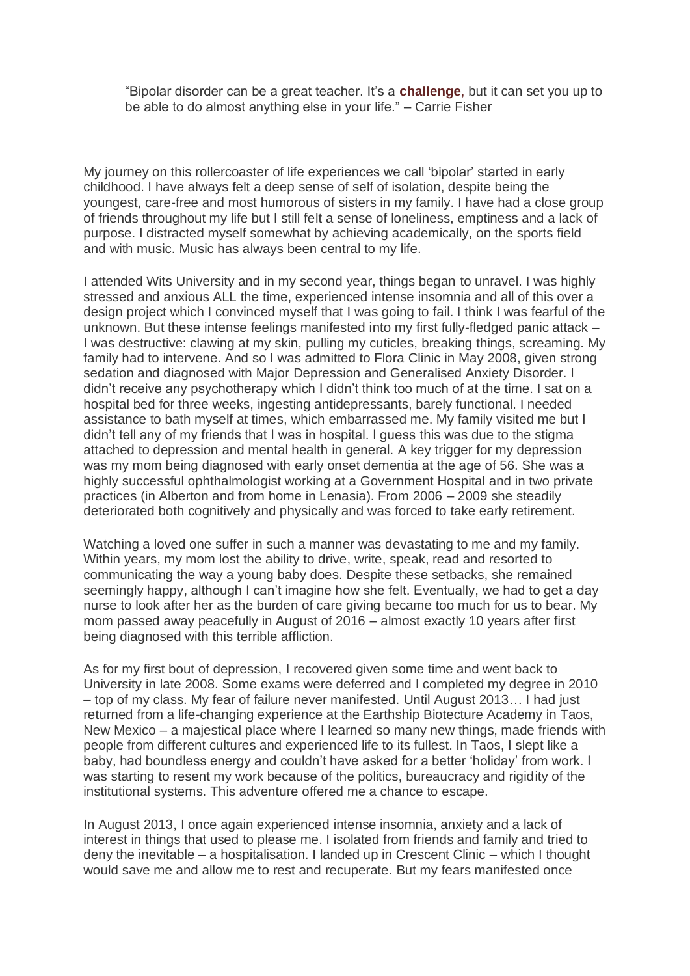"Bipolar disorder can be a great teacher. It's a **[challenge](https://www.bphope.com/blog/challenge-your-bipolar-disorder-challenge-yourself/)**, but it can set you up to be able to do almost anything else in your life." – Carrie Fisher

My journey on this rollercoaster of life experiences we call 'bipolar' started in early childhood. I have always felt a deep sense of self of isolation, despite being the youngest, care-free and most humorous of sisters in my family. I have had a close group of friends throughout my life but I still felt a sense of loneliness, emptiness and a lack of purpose. I distracted myself somewhat by achieving academically, on the sports field and with music. Music has always been central to my life.

I attended Wits University and in my second year, things began to unravel. I was highly stressed and anxious ALL the time, experienced intense insomnia and all of this over a design project which I convinced myself that I was going to fail. I think I was fearful of the unknown. But these intense feelings manifested into my first fully-fledged panic attack – I was destructive: clawing at my skin, pulling my cuticles, breaking things, screaming. My family had to intervene. And so I was admitted to Flora Clinic in May 2008, given strong sedation and diagnosed with Major Depression and Generalised Anxiety Disorder. I didn't receive any psychotherapy which I didn't think too much of at the time. I sat on a hospital bed for three weeks, ingesting antidepressants, barely functional. I needed assistance to bath myself at times, which embarrassed me. My family visited me but I didn't tell any of my friends that I was in hospital. I guess this was due to the stigma attached to depression and mental health in general. A key trigger for my depression was my mom being diagnosed with early onset dementia at the age of 56. She was a highly successful ophthalmologist working at a Government Hospital and in two private practices (in Alberton and from home in Lenasia). From 2006 – 2009 she steadily deteriorated both cognitively and physically and was forced to take early retirement.

Watching a loved one suffer in such a manner was devastating to me and my family. Within years, my mom lost the ability to drive, write, speak, read and resorted to communicating the way a young baby does. Despite these setbacks, she remained seemingly happy, although I can't imagine how she felt. Eventually, we had to get a day nurse to look after her as the burden of care giving became too much for us to bear. My mom passed away peacefully in August of 2016 – almost exactly 10 years after first being diagnosed with this terrible affliction.

As for my first bout of depression, I recovered given some time and went back to University in late 2008. Some exams were deferred and I completed my degree in 2010 – top of my class. My fear of failure never manifested. Until August 2013… I had just returned from a life-changing experience at the Earthship Biotecture Academy in Taos, New Mexico – a majestical place where I learned so many new things, made friends with people from different cultures and experienced life to its fullest. In Taos, I slept like a baby, had boundless energy and couldn't have asked for a better 'holiday' from work. I was starting to resent my work because of the politics, bureaucracy and rigidity of the institutional systems. This adventure offered me a chance to escape.

In August 2013, I once again experienced intense insomnia, anxiety and a lack of interest in things that used to please me. I isolated from friends and family and tried to deny the inevitable – a hospitalisation. I landed up in Crescent Clinic – which I thought would save me and allow me to rest and recuperate. But my fears manifested once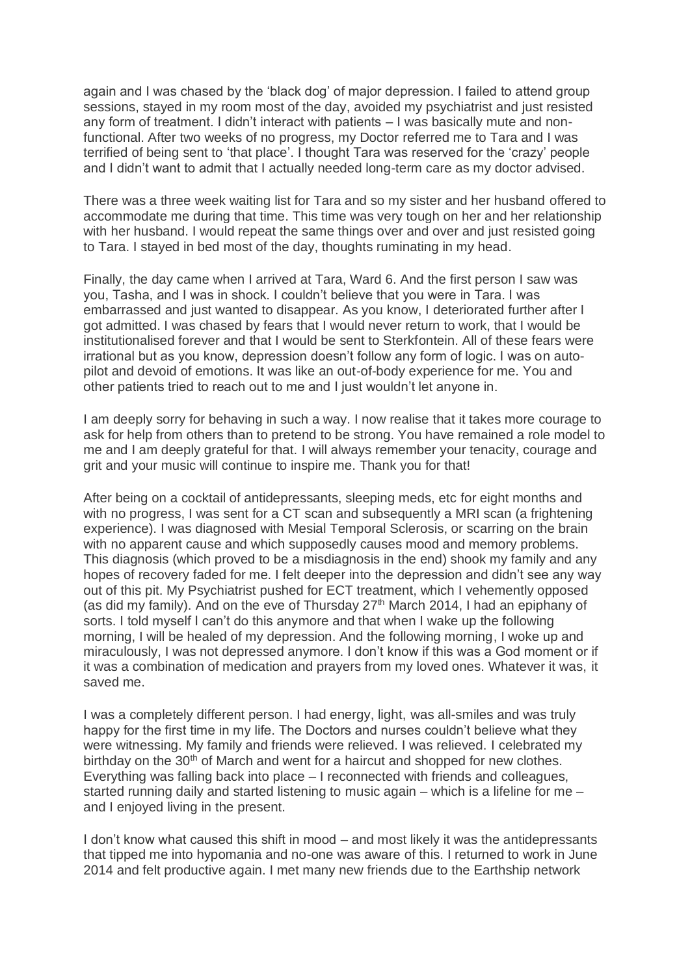again and I was chased by the 'black dog' of major depression. I failed to attend group sessions, stayed in my room most of the day, avoided my psychiatrist and just resisted any form of treatment. I didn't interact with patients – I was basically mute and nonfunctional. After two weeks of no progress, my Doctor referred me to Tara and I was terrified of being sent to 'that place'. I thought Tara was reserved for the 'crazy' people and I didn't want to admit that I actually needed long-term care as my doctor advised.

There was a three week waiting list for Tara and so my sister and her husband offered to accommodate me during that time. This time was very tough on her and her relationship with her husband. I would repeat the same things over and over and just resisted going to Tara. I stayed in bed most of the day, thoughts ruminating in my head.

Finally, the day came when I arrived at Tara, Ward 6. And the first person I saw was you, Tasha, and I was in shock. I couldn't believe that you were in Tara. I was embarrassed and just wanted to disappear. As you know, I deteriorated further after I got admitted. I was chased by fears that I would never return to work, that I would be institutionalised forever and that I would be sent to Sterkfontein. All of these fears were irrational but as you know, depression doesn't follow any form of logic. I was on autopilot and devoid of emotions. It was like an out-of-body experience for me. You and other patients tried to reach out to me and I just wouldn't let anyone in.

I am deeply sorry for behaving in such a way. I now realise that it takes more courage to ask for help from others than to pretend to be strong. You have remained a role model to me and I am deeply grateful for that. I will always remember your tenacity, courage and grit and your music will continue to inspire me. Thank you for that!

After being on a cocktail of antidepressants, sleeping meds, etc for eight months and with no progress, I was sent for a CT scan and subsequently a MRI scan (a frightening experience). I was diagnosed with Mesial Temporal Sclerosis, or scarring on the brain with no apparent cause and which supposedly causes mood and memory problems. This diagnosis (which proved to be a misdiagnosis in the end) shook my family and any hopes of recovery faded for me. I felt deeper into the depression and didn't see any way out of this pit. My Psychiatrist pushed for ECT treatment, which I vehemently opposed (as did my family). And on the eve of Thursday  $27<sup>th</sup>$  March 2014, I had an epiphany of sorts. I told myself I can't do this anymore and that when I wake up the following morning, I will be healed of my depression. And the following morning, I woke up and miraculously, I was not depressed anymore. I don't know if this was a God moment or if it was a combination of medication and prayers from my loved ones. Whatever it was, it saved me.

I was a completely different person. I had energy, light, was all-smiles and was truly happy for the first time in my life. The Doctors and nurses couldn't believe what they were witnessing. My family and friends were relieved. I was relieved. I celebrated my birthday on the  $30<sup>th</sup>$  of March and went for a haircut and shopped for new clothes. Everything was falling back into place – I reconnected with friends and colleagues, started running daily and started listening to music again – which is a lifeline for me – and I enjoyed living in the present.

I don't know what caused this shift in mood – and most likely it was the antidepressants that tipped me into hypomania and no-one was aware of this. I returned to work in June 2014 and felt productive again. I met many new friends due to the Earthship network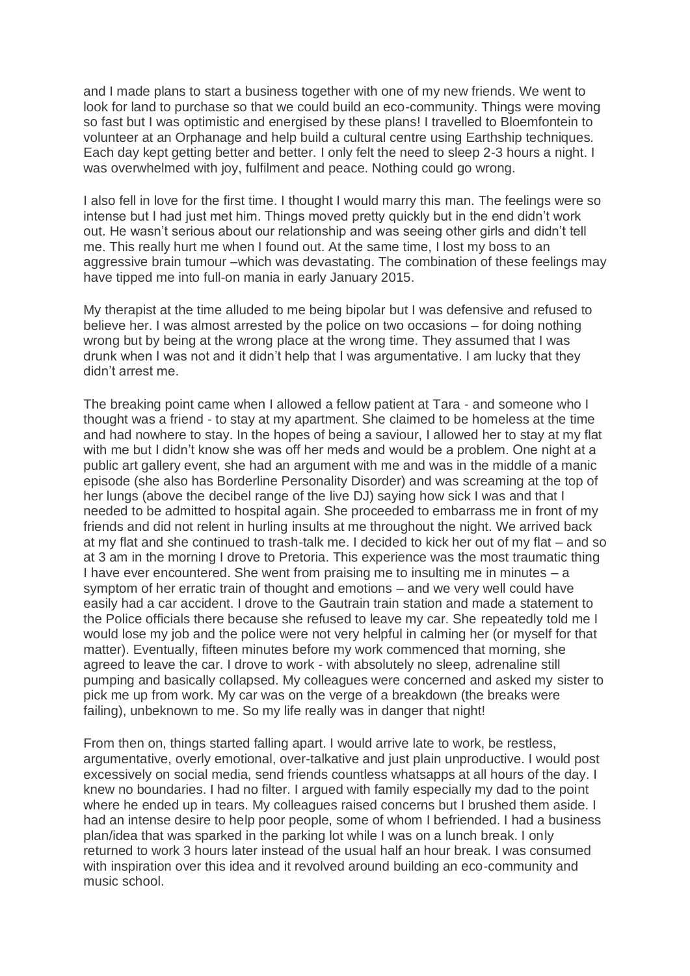and I made plans to start a business together with one of my new friends. We went to look for land to purchase so that we could build an eco-community. Things were moving so fast but I was optimistic and energised by these plans! I travelled to Bloemfontein to volunteer at an Orphanage and help build a cultural centre using Earthship techniques. Each day kept getting better and better. I only felt the need to sleep 2-3 hours a night. I was overwhelmed with joy, fulfilment and peace. Nothing could go wrong.

I also fell in love for the first time. I thought I would marry this man. The feelings were so intense but I had just met him. Things moved pretty quickly but in the end didn't work out. He wasn't serious about our relationship and was seeing other girls and didn't tell me. This really hurt me when I found out. At the same time, I lost my boss to an aggressive brain tumour –which was devastating. The combination of these feelings may have tipped me into full-on mania in early January 2015.

My therapist at the time alluded to me being bipolar but I was defensive and refused to believe her. I was almost arrested by the police on two occasions – for doing nothing wrong but by being at the wrong place at the wrong time. They assumed that I was drunk when I was not and it didn't help that I was argumentative. I am lucky that they didn't arrest me.

The breaking point came when I allowed a fellow patient at Tara - and someone who I thought was a friend - to stay at my apartment. She claimed to be homeless at the time and had nowhere to stay. In the hopes of being a saviour, I allowed her to stay at my flat with me but I didn't know she was off her meds and would be a problem. One night at a public art gallery event, she had an argument with me and was in the middle of a manic episode (she also has Borderline Personality Disorder) and was screaming at the top of her lungs (above the decibel range of the live DJ) saying how sick I was and that I needed to be admitted to hospital again. She proceeded to embarrass me in front of my friends and did not relent in hurling insults at me throughout the night. We arrived back at my flat and she continued to trash-talk me. I decided to kick her out of my flat – and so at 3 am in the morning I drove to Pretoria. This experience was the most traumatic thing I have ever encountered. She went from praising me to insulting me in minutes  $-$  a symptom of her erratic train of thought and emotions – and we very well could have easily had a car accident. I drove to the Gautrain train station and made a statement to the Police officials there because she refused to leave my car. She repeatedly told me I would lose my job and the police were not very helpful in calming her (or myself for that matter). Eventually, fifteen minutes before my work commenced that morning, she agreed to leave the car. I drove to work - with absolutely no sleep, adrenaline still pumping and basically collapsed. My colleagues were concerned and asked my sister to pick me up from work. My car was on the verge of a breakdown (the breaks were failing), unbeknown to me. So my life really was in danger that night!

From then on, things started falling apart. I would arrive late to work, be restless, argumentative, overly emotional, over-talkative and just plain unproductive. I would post excessively on social media, send friends countless whatsapps at all hours of the day. I knew no boundaries. I had no filter. I argued with family especially my dad to the point where he ended up in tears. My colleagues raised concerns but I brushed them aside. I had an intense desire to help poor people, some of whom I befriended. I had a business plan/idea that was sparked in the parking lot while I was on a lunch break. I only returned to work 3 hours later instead of the usual half an hour break. I was consumed with inspiration over this idea and it revolved around building an eco-community and music school.